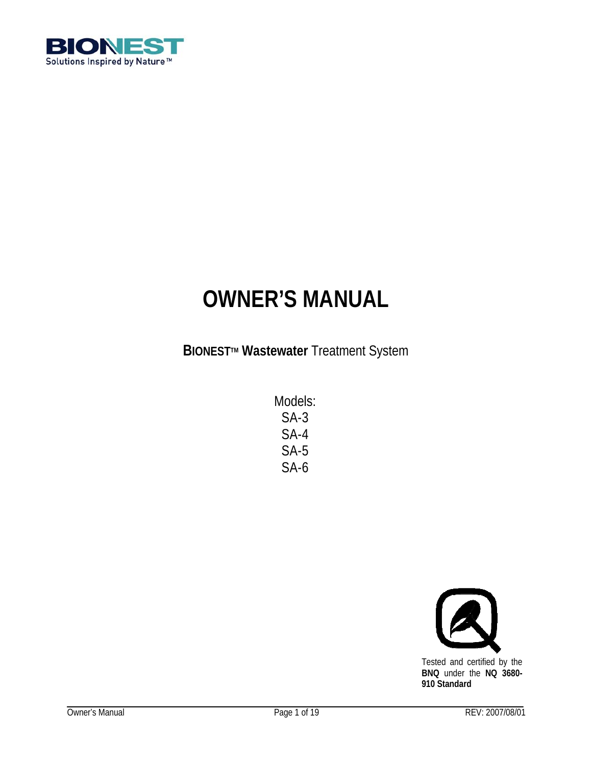

# **OWNER'S MANUAL**

**BIONEST<sup>™</sup> Wastewater** Treatment System

Models: SA-3 SA-4 SA-5 SA-6

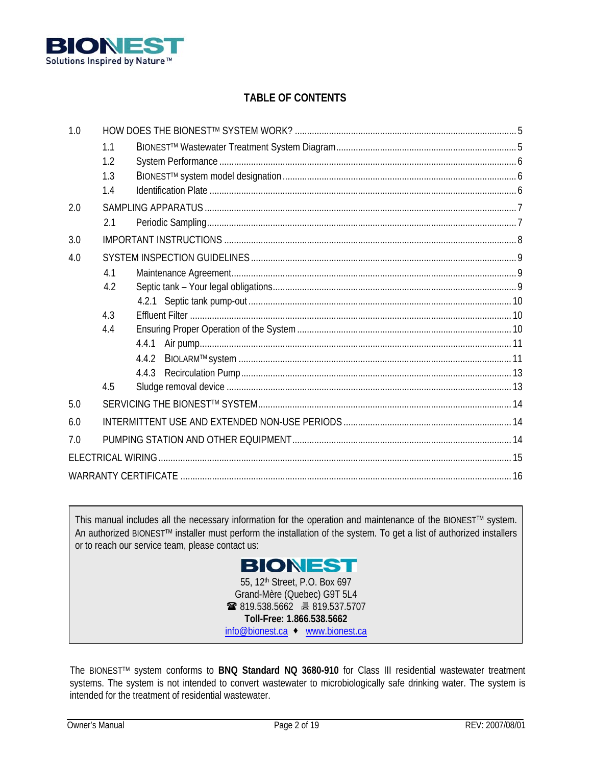

# **TABLE OF CONTENTS**

| 1.0 |     |       |  |
|-----|-----|-------|--|
|     | 1.1 |       |  |
|     | 1.2 |       |  |
|     | 1.3 |       |  |
|     | 1.4 |       |  |
| 2.0 |     |       |  |
|     | 2.1 |       |  |
| 3.0 |     |       |  |
| 4.0 |     |       |  |
|     | 4.1 |       |  |
|     | 4.2 |       |  |
|     |     |       |  |
|     | 4.3 |       |  |
|     | 4.4 |       |  |
|     |     | 4.4.1 |  |
|     |     | 4.4.2 |  |
|     |     |       |  |
|     | 4.5 |       |  |
| 5.0 |     |       |  |
| 6.0 |     |       |  |
| 7.0 |     |       |  |
|     |     |       |  |
|     |     |       |  |

This manual includes all the necessary information for the operation and maintenance of the BIONEST™ system. An authorized BIONESTTM installer must perform the installation of the system. To get a list of authorized installers or to reach our service team, please contact us:



 819.538.5662 819.537.5707 **Toll-Free: 1.866.538.5662**  info@bionest.ca ◆ www.bionest.ca

The BIONESTTM system conforms to **BNQ Standard NQ 3680-910** for Class III residential wastewater treatment systems. The system is not intended to convert wastewater to microbiologically safe drinking water. The system is intended for the treatment of residential wastewater.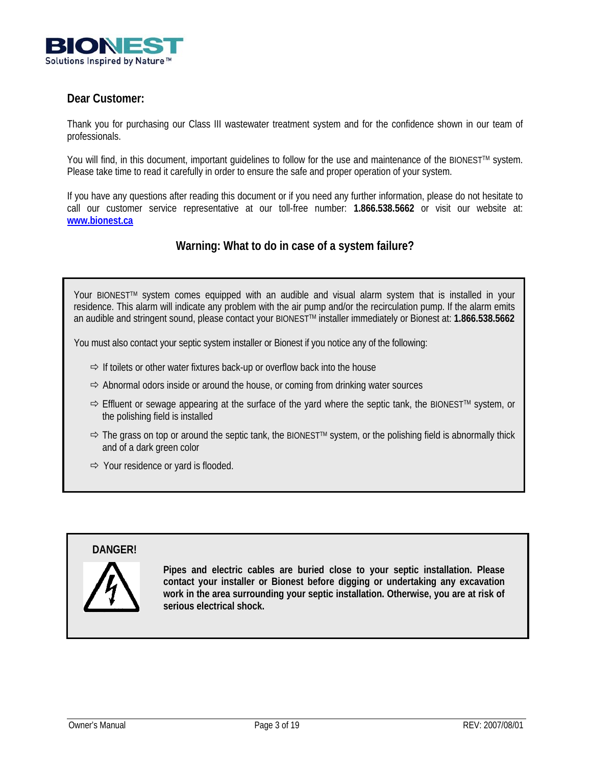

# **Dear Customer:**

Thank you for purchasing our Class III wastewater treatment system and for the confidence shown in our team of professionals.

You will find, in this document, important quidelines to follow for the use and maintenance of the BIONEST™ system. Please take time to read it carefully in order to ensure the safe and proper operation of your system.

If you have any questions after reading this document or if you need any further information, please do not hesitate to call our customer service representative at our toll-free number: **1.866.538.5662** or visit our website at: **www.bionest.ca**

# **Warning: What to do in case of a system failure?**

Your BIONEST<sup>™</sup> system comes equipped with an audible and visual alarm system that is installed in your residence. This alarm will indicate any problem with the air pump and/or the recirculation pump. If the alarm emits an audible and stringent sound, please contact your BIONESTTM installer immediately or Bionest at: **1.866.538.5662**

You must also contact your septic system installer or Bionest if you notice any of the following:

- $\Rightarrow$  If toilets or other water fixtures back-up or overflow back into the house
- $\Rightarrow$  Abnormal odors inside or around the house, or coming from drinking water sources
- $\Rightarrow$  Effluent or sewage appearing at the surface of the yard where the septic tank, the BIONEST<sup>TM</sup> system, or the polishing field is installed
- $\Rightarrow$  The grass on top or around the septic tank, the BIONEST<sup>TM</sup> system, or the polishing field is abnormally thick and of a dark green color
- $\Rightarrow$  Your residence or yard is flooded.

# **DANGER!**



**Pipes and electric cables are buried close to your septic installation. Please contact your installer or Bionest before digging or undertaking any excavation work in the area surrounding your septic installation. Otherwise, you are at risk of serious electrical shock.**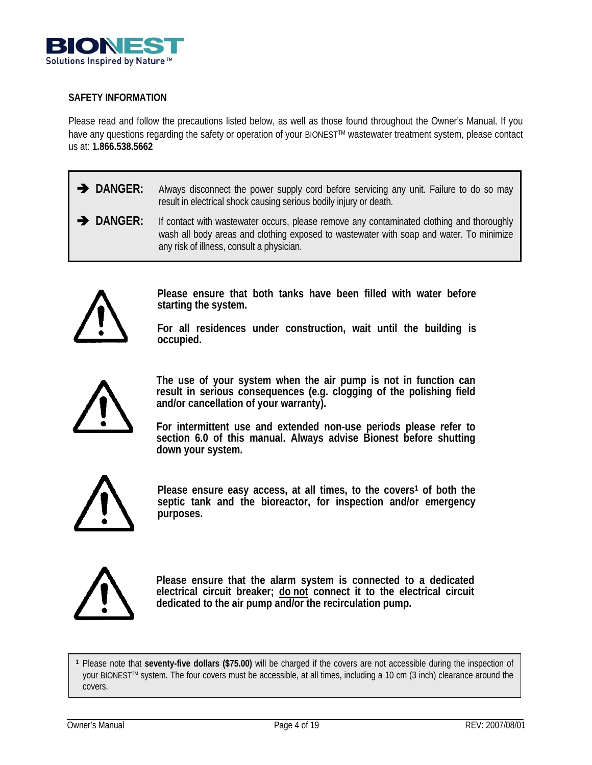

## **SAFETY INFORMATION**

Please read and follow the precautions listed below, as well as those found throughout the Owner's Manual. If you have any questions regarding the safety or operation of your BIONEST™ wastewater treatment system, please contact us at: **1.866.538.5662** 

- **I** DANGER: Always disconnect the power supply cord before servicing any unit. Failure to do so may result in electrical shock causing serious bodily injury or death.
- **DANGER:** If contact with wastewater occurs, please remove any contaminated clothing and thoroughly wash all body areas and clothing exposed to wastewater with soap and water. To minimize any risk of illness, consult a physician.



**Please ensure that both tanks have been filled with water before starting the system.** 

**For all residences under construction, wait until the building is occupied.** 

**The use of your system when the air pump is not in function can result in serious consequences (e.g. clogging of the polishing field and/or cancellation of your warranty).** 

**For intermittent use and extended non-use periods please refer to section 6.0 of this manual. Always advise Bionest before shutting down your system.** 



Please ensure easy access, at all times, to the covers<sup>1</sup> of both the **septic tank and the bioreactor, for inspection and/or emergency purposes.** 



**Please ensure that the alarm system is connected to a dedicated electrical circuit breaker; do not connect it to the electrical circuit dedicated to the air pump and/or the recirculation pump.**

**<sup>1</sup>** Please note that **seventy-five dollars (\$75.00)** will be charged if the covers are not accessible during the inspection of your BIONESTTM system. The four covers must be accessible, at all times, including a 10 cm (3 inch) clearance around the covers.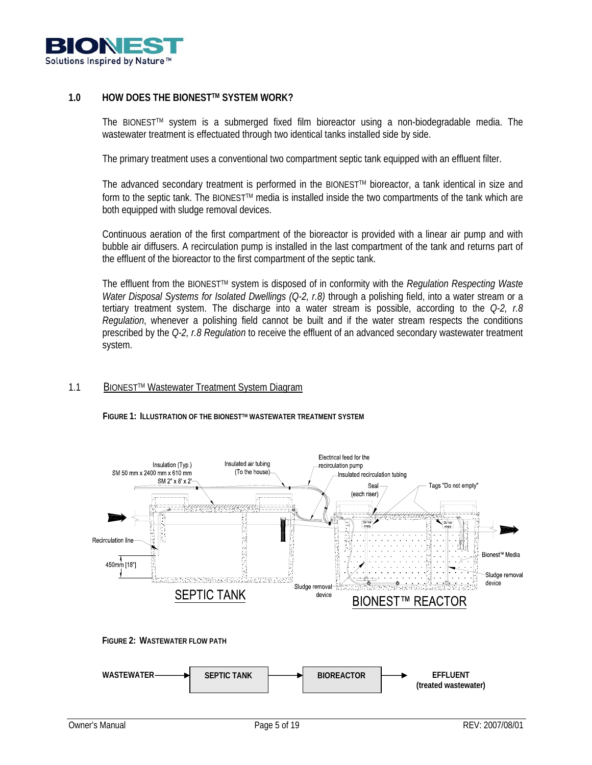

## **1.0 HOW DOES THE BIONESTTM SYSTEM WORK?**

The BIONESTTM system is a submerged fixed film bioreactor using a non-biodegradable media. The wastewater treatment is effectuated through two identical tanks installed side by side.

The primary treatment uses a conventional two compartment septic tank equipped with an effluent filter.

The advanced secondary treatment is performed in the BIONEST™ bioreactor, a tank identical in size and form to the septic tank. The BIONEST™ media is installed inside the two compartments of the tank which are both equipped with sludge removal devices.

Continuous aeration of the first compartment of the bioreactor is provided with a linear air pump and with bubble air diffusers. A recirculation pump is installed in the last compartment of the tank and returns part of the effluent of the bioreactor to the first compartment of the septic tank.

The effluent from the BIONESTTM system is disposed of in conformity with the *Regulation Respecting Waste Water Disposal Systems for Isolated Dwellings (Q-2, r.8)* through a polishing field, into a water stream or a tertiary treatment system. The discharge into a water stream is possible, according to the *Q-2, r.8 Regulation*, whenever a polishing field cannot be built and if the water stream respects the conditions prescribed by the *Q-2, r.8 Regulation* to receive the effluent of an advanced secondary wastewater treatment system.

## 1.1 BIONESTTM Wastewater Treatment System Diagram

**FIGURE 1: ILLUSTRATION OF THE BIONESTTM WASTEWATER TREATMENT SYSTEM** 



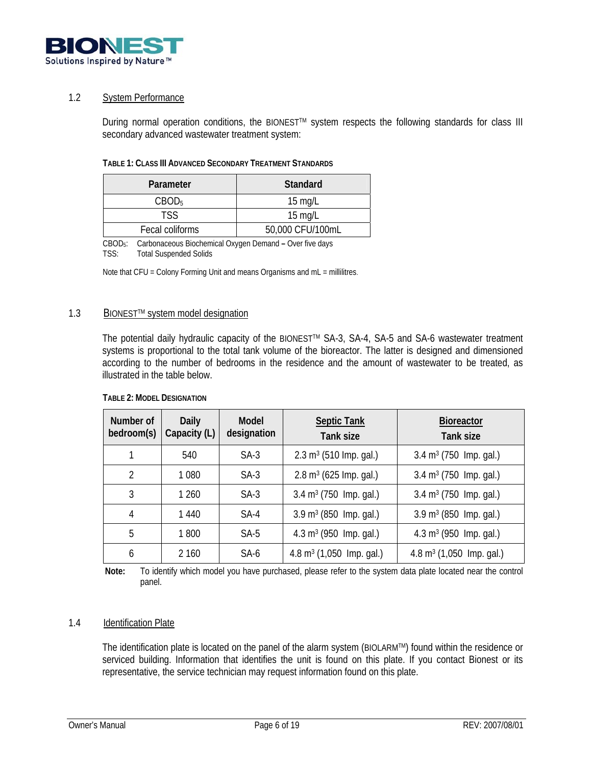

## 1.2 System Performance

During normal operation conditions, the BIONEST™ system respects the following standards for class III secondary advanced wastewater treatment system:

| Parameter         | Standard          |
|-------------------|-------------------|
| CBOD <sub>5</sub> | $15 \text{ mq/L}$ |
| TSS               | $15 \text{ mq/L}$ |
| Fecal coliforms   | 50,000 CFU/100mL  |

CBOD5: Carbonaceous Biochemical Oxygen Demand **–** Over five days TSS: Total Suspended Solids

Note that CFU = Colony Forming Unit and means Organisms and mL = millilitres.

## 1.3 BIONESTTM system model designation

The potential daily hydraulic capacity of the BIONESTTM SA-3, SA-4, SA-5 and SA-6 wastewater treatment systems is proportional to the total tank volume of the bioreactor. The latter is designed and dimensioned according to the number of bedrooms in the residence and the amount of wastewater to be treated, as illustrated in the table below.

| Number of<br>bedroom(s) | <b>Daily</b><br>Capacity (L) | Model<br>designation | <b>Septic Tank</b><br>Tank size     | <b>Bioreactor</b><br>Tank size      |
|-------------------------|------------------------------|----------------------|-------------------------------------|-------------------------------------|
|                         | 540                          | $SA-3$               | $2.3 \text{ m}^3$ (510 lmp. gal.)   | $3.4 \text{ m}^3$ (750 lmp. gal.)   |
| $\overline{2}$          | 1 0 8 0                      | $SA-3$               | $2.8 \text{ m}^3$ (625 lmp. gal.)   | $3.4 \text{ m}^3$ (750 lmp. gal.)   |
| 3                       | 1 260                        | $SA-3$               | $3.4 \text{ m}^3$ (750 lmp. gal.)   | $3.4 \text{ m}^3$ (750 lmp. gal.)   |
| 4                       | 1 440                        | $SA-4$               | $3.9 \text{ m}^3$ (850 lmp. gal.)   | $3.9 \text{ m}^3$ (850 lmp. gal.)   |
| 5                       | 1800                         | $SA-5$               | $4.3 \text{ m}^3$ (950 lmp. gal.)   | $4.3 \text{ m}^3$ (950 lmp. gal.)   |
| 6                       | 2 160                        | SA-6                 | $4.8 \text{ m}^3$ (1,050 lmp. gal.) | $4.8 \text{ m}^3$ (1,050 lmp. gal.) |

## **TABLE 2: MODEL DESIGNATION**

**Note:** To identify which model you have purchased, please refer to the system data plate located near the control panel.

## 1.4 Identification Plate

The identification plate is located on the panel of the alarm system (BIOLARMTM) found within the residence or serviced building. Information that identifies the unit is found on this plate. If you contact Bionest or its representative, the service technician may request information found on this plate.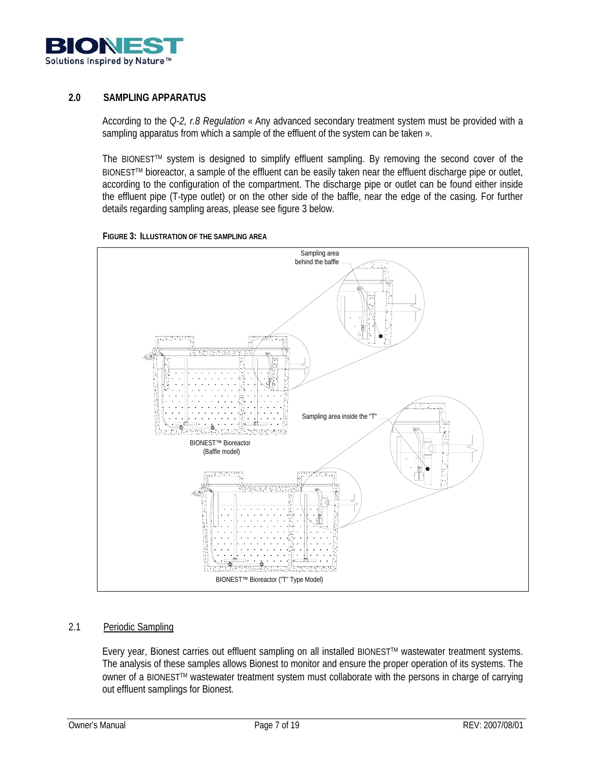

## **2.0 SAMPLING APPARATUS**

According to the *Q-2, r.8 Regulation* « Any advanced secondary treatment system must be provided with a sampling apparatus from which a sample of the effluent of the system can be taken ».

The BIONEST™ system is designed to simplify effluent sampling. By removing the second cover of the BIONEST™ bioreactor, a sample of the effluent can be easily taken near the effluent discharge pipe or outlet, according to the configuration of the compartment. The discharge pipe or outlet can be found either inside the effluent pipe (T-type outlet) or on the other side of the baffle, near the edge of the casing. For further details regarding sampling areas, please see figure 3 below.





## 2.1 Periodic Sampling

Every year, Bionest carries out effluent sampling on all installed BIONEST™ wastewater treatment systems. The analysis of these samples allows Bionest to monitor and ensure the proper operation of its systems. The owner of a BIONEST™ wastewater treatment system must collaborate with the persons in charge of carrying out effluent samplings for Bionest.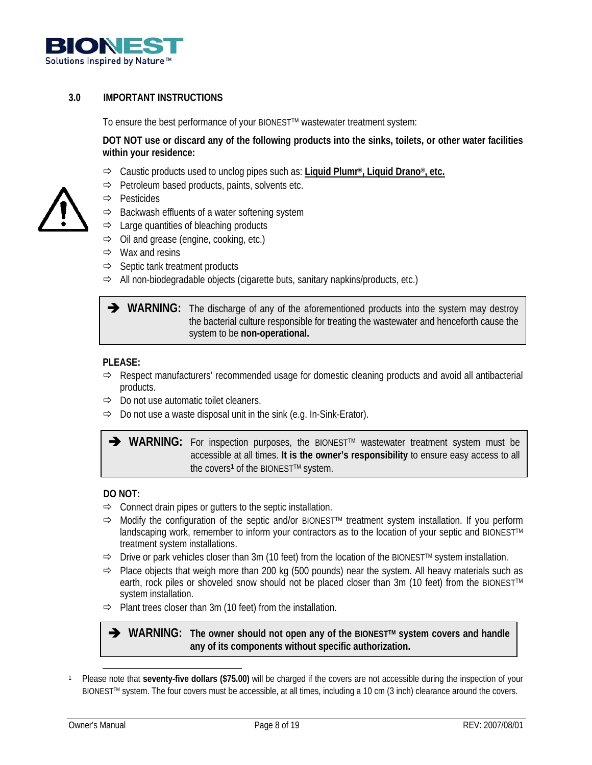

# **3.0 IMPORTANT INSTRUCTIONS**

To ensure the best performance of your BIONESTTM wastewater treatment system:

**DOT NOT use or discard any of the following products into the sinks, toilets, or other water facilities within your residence:** 

- Ö Caustic products used to unclog pipes such as: **Liquid Plumr®, Liquid Drano®, etc.**
- $\Rightarrow$  Petroleum based products, paints, solvents etc.
- Ö Pesticides
- $\Rightarrow$  Backwash effluents of a water softening system
- $\Rightarrow$  Large quantities of bleaching products
- $\Rightarrow$  Oil and grease (engine, cooking, etc.)
- $\Rightarrow$  Wax and resins
- $\Rightarrow$  Septic tank treatment products
- $\Rightarrow$  All non-biodegradable objects (cigarette buts, sanitary napkins/products, etc.)

**I** WARNING: The discharge of any of the aforementioned products into the system may destroy the bacterial culture responsible for treating the wastewater and henceforth cause the system to be **non-operational.**

#### **PLEASE:**

- $\Rightarrow$  Respect manufacturers' recommended usage for domestic cleaning products and avoid all antibacterial products.
- $\Rightarrow$  Do not use automatic toilet cleaners.
- $\Rightarrow$  Do not use a waste disposal unit in the sink (e.g. In-Sink-Erator).

**→ WARNING:** For inspection purposes, the BIONEST<sup>™</sup> wastewater treatment system must be accessible at all times. **It is the owner's responsibility** to ensure easy access to all the covers<sup>1</sup> of the BIONEST™ system.

## **DO NOT:**

- $\Rightarrow$  Connect drain pipes or gutters to the septic installation.
- Ö Modify the configuration of the septic and/or BIONESTTM treatment system installation. If you perform landscaping work, remember to inform your contractors as to the location of your septic and BIONEST™ treatment system installations.
- $\Rightarrow$  Drive or park vehicles closer than 3m (10 feet) from the location of the BIONEST<sup>TM</sup> system installation.
- $\Rightarrow$  Place objects that weigh more than 200 kg (500 pounds) near the system. All heavy materials such as earth, rock piles or shoveled snow should not be placed closer than 3m (10 feet) from the BIONEST™ system installation.
- $\Rightarrow$  Plant trees closer than 3m (10 feet) from the installation.

**→** WARNING: The owner should not open any of the BIONEST<sup>™</sup> system covers and handle **any of its components without specific authorization.**

 1 Please note that **seventy-five dollars (\$75.00)** will be charged if the covers are not accessible during the inspection of your BIONEST™ system. The four covers must be accessible, at all times, including a 10 cm (3 inch) clearance around the covers.

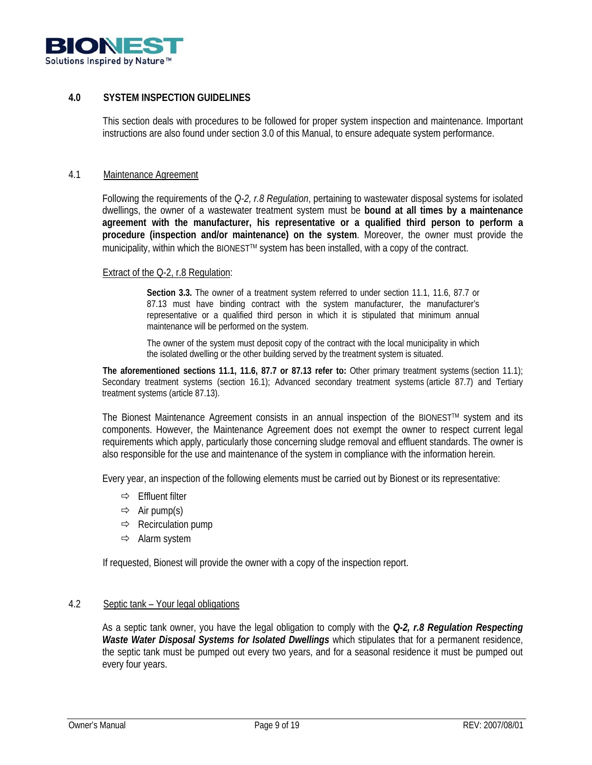

## **4.0 SYSTEM INSPECTION GUIDELINES**

This section deals with procedures to be followed for proper system inspection and maintenance. Important instructions are also found under section 3.0 of this Manual, to ensure adequate system performance.

#### 4.1 Maintenance Agreement

Following the requirements of the *Q-2, r.8 Regulation*, pertaining to wastewater disposal systems for isolated dwellings, the owner of a wastewater treatment system must be **bound at all times by a maintenance agreement with the manufacturer, his representative or a qualified third person to perform a procedure (inspection and/or maintenance) on the system**. Moreover, the owner must provide the municipality, within which the BIONEST<sup>™</sup> system has been installed, with a copy of the contract.

#### Extract of the Q-2, r.8 Regulation:

**Section 3.3.** The owner of a treatment system referred to under section 11.1, 11.6, 87.7 or 87.13 must have binding contract with the system manufacturer, the manufacturer's representative or a qualified third person in which it is stipulated that minimum annual maintenance will be performed on the system.

The owner of the system must deposit copy of the contract with the local municipality in which the isolated dwelling or the other building served by the treatment system is situated.

**The aforementioned sections 11.1, 11.6, 87.7 or 87.13 refer to:** Other primary treatment systems (section 11.1); Secondary treatment systems (section 16.1); Advanced secondary treatment systems (article 87.7) and Tertiary treatment systems (article 87.13).

The Bionest Maintenance Agreement consists in an annual inspection of the BIONEST<sup>TM</sup> system and its components. However, the Maintenance Agreement does not exempt the owner to respect current legal requirements which apply, particularly those concerning sludge removal and effluent standards. The owner is also responsible for the use and maintenance of the system in compliance with the information herein.

Every year, an inspection of the following elements must be carried out by Bionest or its representative:

- $\Rightarrow$  Effluent filter
- $\Rightarrow$  Air pump(s)
- $\Rightarrow$  Recirculation pump
- $\Rightarrow$  Alarm system

If requested, Bionest will provide the owner with a copy of the inspection report.

#### 4.2 Septic tank – Your legal obligations

As a septic tank owner, you have the legal obligation to comply with the *Q-2, r.8 Regulation Respecting Waste Water Disposal Systems for Isolated Dwellings* which stipulates that for a permanent residence, the septic tank must be pumped out every two years, and for a seasonal residence it must be pumped out every four years.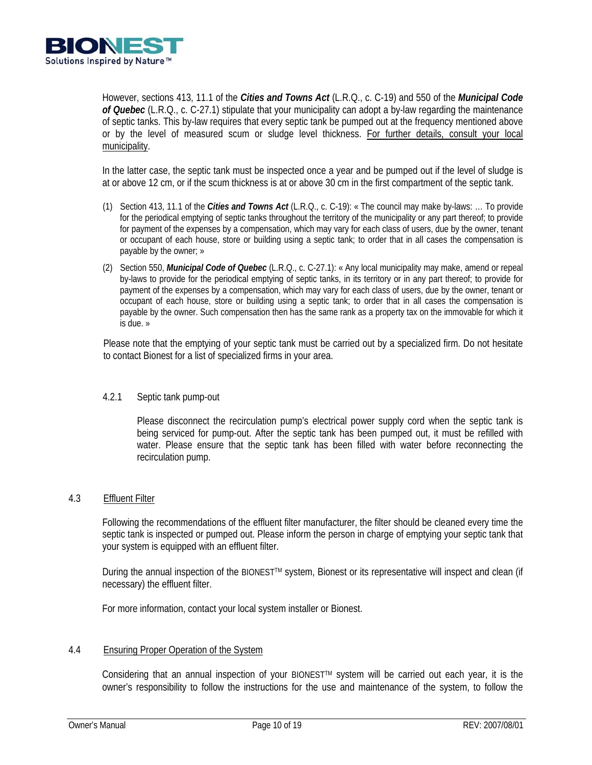

However, sections 413, 11.1 of the *Cities and Towns Act* (L.R.Q., c. C-19) and 550 of the *Municipal Code of Quebec* (L.R.Q., c. C-27.1) stipulate that your municipality can adopt a by-law regarding the maintenance of septic tanks. This by-law requires that every septic tank be pumped out at the frequency mentioned above or by the level of measured scum or sludge level thickness. For further details, consult your local municipality.

In the latter case, the septic tank must be inspected once a year and be pumped out if the level of sludge is at or above 12 cm, or if the scum thickness is at or above 30 cm in the first compartment of the septic tank.

- (1) Section 413, 11.1 of the *Cities and Towns Act* (L.R.Q., c. C-19): « The council may make by-laws: … To provide for the periodical emptying of septic tanks throughout the territory of the municipality or any part thereof; to provide for payment of the expenses by a compensation, which may vary for each class of users, due by the owner, tenant or occupant of each house, store or building using a septic tank; to order that in all cases the compensation is payable by the owner; »
- (2) Section 550, *Municipal Code of Quebec* (L.R.Q., c. C-27.1): « Any local municipality may make, amend or repeal by-laws to provide for the periodical emptying of septic tanks, in its territory or in any part thereof; to provide for payment of the expenses by a compensation, which may vary for each class of users, due by the owner, tenant or occupant of each house, store or building using a septic tank; to order that in all cases the compensation is payable by the owner. Such compensation then has the same rank as a property tax on the immovable for which it is due. »

Please note that the emptying of your septic tank must be carried out by a specialized firm. Do not hesitate to contact Bionest for a list of specialized firms in your area.

## 4.2.1 Septic tank pump-out

Please disconnect the recirculation pump's electrical power supply cord when the septic tank is being serviced for pump-out. After the septic tank has been pumped out, it must be refilled with water. Please ensure that the septic tank has been filled with water before reconnecting the recirculation pump.

## 4.3 Effluent Filter

Following the recommendations of the effluent filter manufacturer, the filter should be cleaned every time the septic tank is inspected or pumped out. Please inform the person in charge of emptying your septic tank that your system is equipped with an effluent filter.

During the annual inspection of the BIONESTTM system, Bionest or its representative will inspect and clean (if necessary) the effluent filter.

For more information, contact your local system installer or Bionest.

## 4.4 Ensuring Proper Operation of the System

Considering that an annual inspection of your BIONEST™ system will be carried out each year, it is the owner's responsibility to follow the instructions for the use and maintenance of the system, to follow the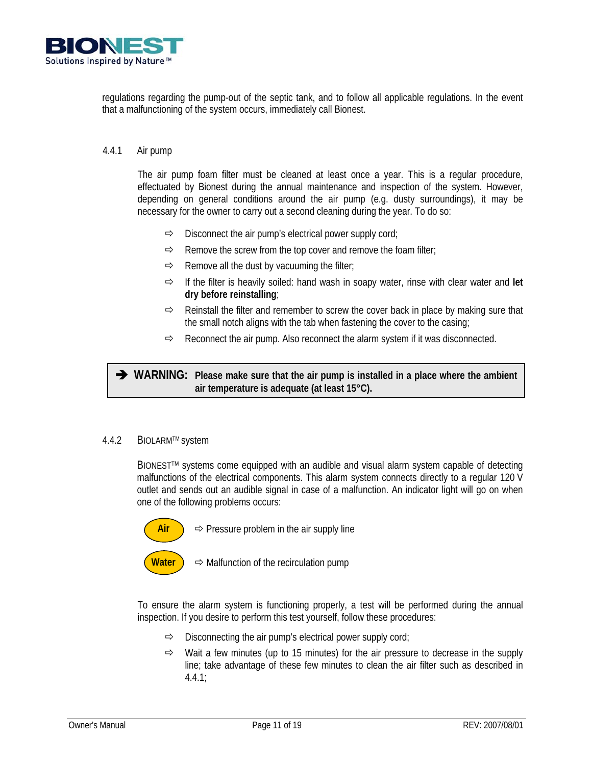

regulations regarding the pump-out of the septic tank, and to follow all applicable regulations. In the event that a malfunctioning of the system occurs, immediately call Bionest.

## 4.4.1 Air pump

The air pump foam filter must be cleaned at least once a year. This is a regular procedure, effectuated by Bionest during the annual maintenance and inspection of the system. However, depending on general conditions around the air pump (e.g. dusty surroundings), it may be necessary for the owner to carry out a second cleaning during the year. To do so:

- $\Rightarrow$  Disconnect the air pump's electrical power supply cord;
- $\Rightarrow$  Remove the screw from the top cover and remove the foam filter;
- $\Rightarrow$  Remove all the dust by vacuuming the filter;
- $\Rightarrow$  If the filter is heavily soiled: hand wash in soapy water, rinse with clear water and let **dry before reinstalling**;
- $\Rightarrow$  Reinstall the filter and remember to screw the cover back in place by making sure that the small notch aligns with the tab when fastening the cover to the casing;
- $\Rightarrow$  Reconnect the air pump. Also reconnect the alarm system if it was disconnected.

Î **WARNING: Please make sure that the air pump is installed in a place where the ambient air temperature is adequate (at least 15°C).**

#### 4.4.2 BIOLARMTM system

BIONEST<sup>TM</sup> systems come equipped with an audible and visual alarm system capable of detecting malfunctions of the electrical components. This alarm system connects directly to a regular 120 V outlet and sends out an audible signal in case of a malfunction. An indicator light will go on when one of the following problems occurs:



 $\overrightarrow{Air}$   $\Rightarrow$  Pressure problem in the air supply line

**Water )**  $\Rightarrow$  Malfunction of the recirculation pump

To ensure the alarm system is functioning properly, a test will be performed during the annual inspection. If you desire to perform this test yourself, follow these procedures:

- $\Rightarrow$  Disconnecting the air pump's electrical power supply cord;
- $\Rightarrow$  Wait a few minutes (up to 15 minutes) for the air pressure to decrease in the supply line; take advantage of these few minutes to clean the air filter such as described in 4.4.1;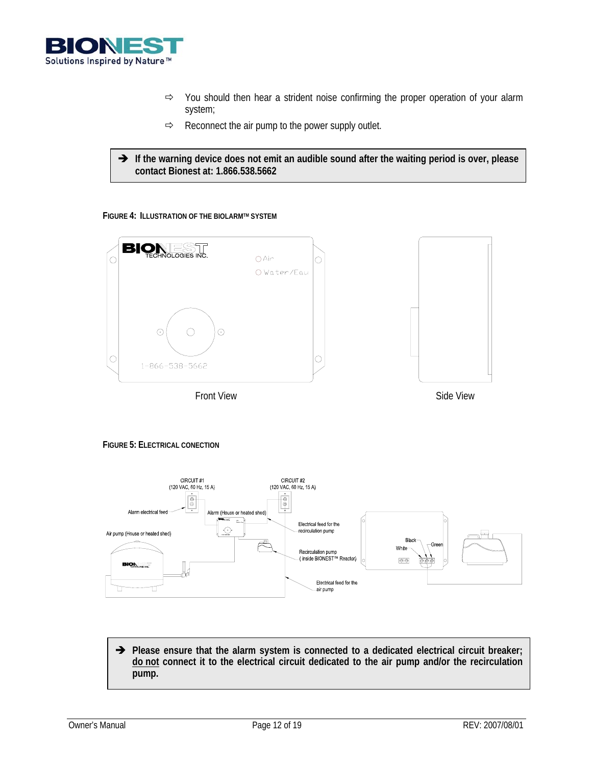

- $\Rightarrow$  You should then hear a strident noise confirming the proper operation of your alarm system;
- $\Rightarrow$  Reconnect the air pump to the power supply outlet.
- $\rightarrow$  If the warning device does not emit an audible sound after the waiting period is over, please **contact Bionest at: 1.866.538.5662**

#### **FIGURE 4: ILLUSTRATION OF THE BIOLARMTM SYSTEM**



#### **FIGURE 5: ELECTRICAL CONECTION**



→ Please ensure that the alarm system is connected to a dedicated electrical circuit breaker; **do not connect it to the electrical circuit dedicated to the air pump and/or the recirculation pump.**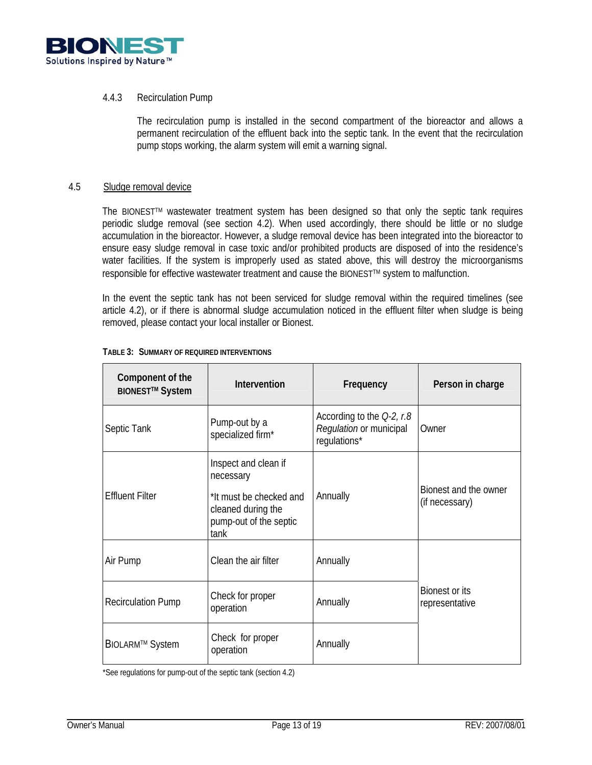

## 4.4.3 Recirculation Pump

The recirculation pump is installed in the second compartment of the bioreactor and allows a permanent recirculation of the effluent back into the septic tank. In the event that the recirculation pump stops working, the alarm system will emit a warning signal.

#### 4.5 Sludge removal device

The BIONESTTM wastewater treatment system has been designed so that only the septic tank requires periodic sludge removal (see section 4.2). When used accordingly, there should be little or no sludge accumulation in the bioreactor. However, a sludge removal device has been integrated into the bioreactor to ensure easy sludge removal in case toxic and/or prohibited products are disposed of into the residence's water facilities. If the system is improperly used as stated above, this will destroy the microorganisms responsible for effective wastewater treatment and cause the BIONEST™ system to malfunction.

In the event the septic tank has not been serviced for sludge removal within the required timelines (see article 4.2), or if there is abnormal sludge accumulation noticed in the effluent filter when sludge is being removed, please contact your local installer or Bionest.

| Component of the<br><b>BIONEST™ System</b> | <b>Intervention</b>                                                                                                  | Frequency                                                               | Person in charge                        |
|--------------------------------------------|----------------------------------------------------------------------------------------------------------------------|-------------------------------------------------------------------------|-----------------------------------------|
| Septic Tank                                | Pump-out by a<br>specialized firm*                                                                                   | According to the $Q-2$ , r.8<br>Regulation or municipal<br>regulations* | Owner                                   |
| <b>Effluent Filter</b>                     | Inspect and clean if<br>necessary<br>*It must be checked and<br>cleaned during the<br>pump-out of the septic<br>tank | Annually                                                                | Bionest and the owner<br>(if necessary) |
| Air Pump                                   | Clean the air filter                                                                                                 | Annually                                                                |                                         |
| <b>Recirculation Pump</b>                  | Check for proper<br>operation                                                                                        | Annually                                                                | Bionest or its<br>representative        |
| <b>BIOLARM™ System</b>                     | Check for proper<br>operation                                                                                        | Annually                                                                |                                         |

#### **TABLE 3: SUMMARY OF REQUIRED INTERVENTIONS**

\*See regulations for pump-out of the septic tank (section 4.2)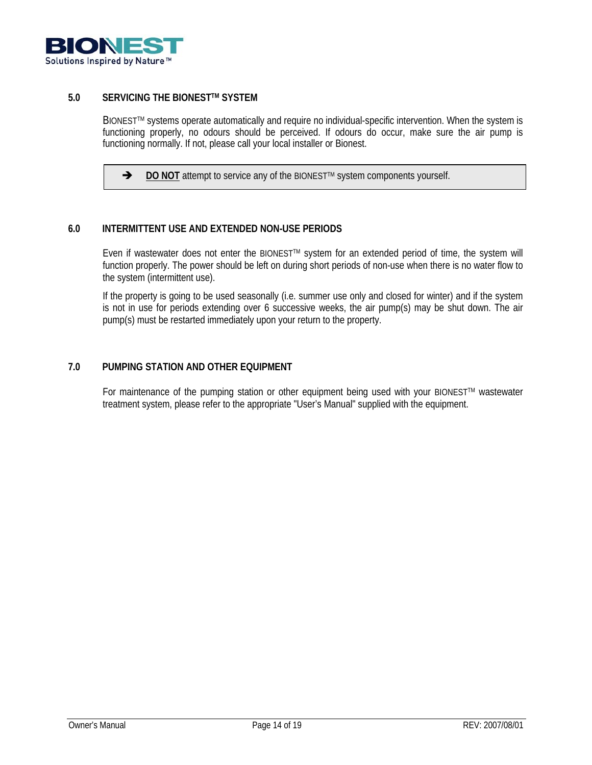

## **5.0 SERVICING THE BIONESTTM SYSTEM**

BIONEST<sup>TM</sup> systems operate automatically and require no individual-specific intervention. When the system is functioning properly, no odours should be perceived. If odours do occur, make sure the air pump is functioning normally. If not, please call your local installer or Bionest.

→ **DO NOT** attempt to service any of the BIONEST<sup>™</sup> system components yourself.

## **6.0 INTERMITTENT USE AND EXTENDED NON-USE PERIODS**

Even if wastewater does not enter the BIONEST<sup>™</sup> system for an extended period of time, the system will function properly. The power should be left on during short periods of non-use when there is no water flow to the system (intermittent use).

If the property is going to be used seasonally (i.e. summer use only and closed for winter) and if the system is not in use for periods extending over 6 successive weeks, the air pump(s) may be shut down. The air pump(s) must be restarted immediately upon your return to the property.

## **7.0 PUMPING STATION AND OTHER EQUIPMENT**

For maintenance of the pumping station or other equipment being used with your BIONEST™ wastewater treatment system, please refer to the appropriate "User's Manual" supplied with the equipment.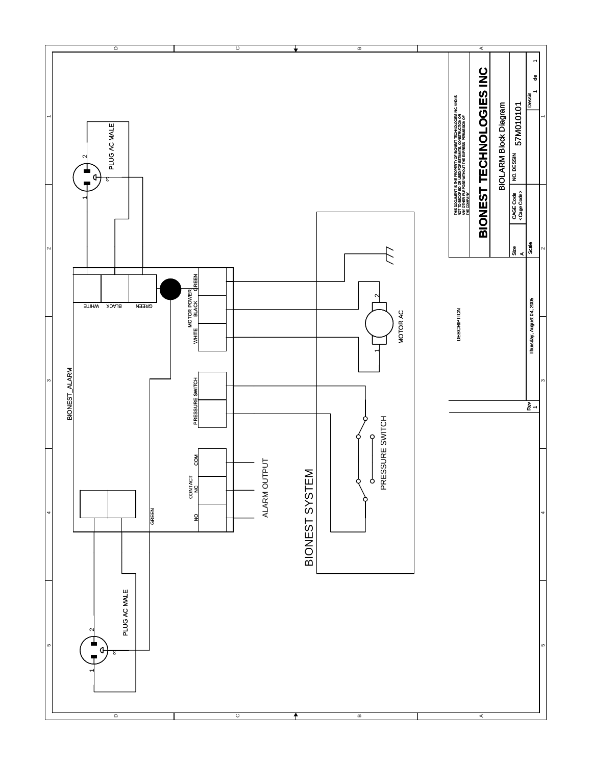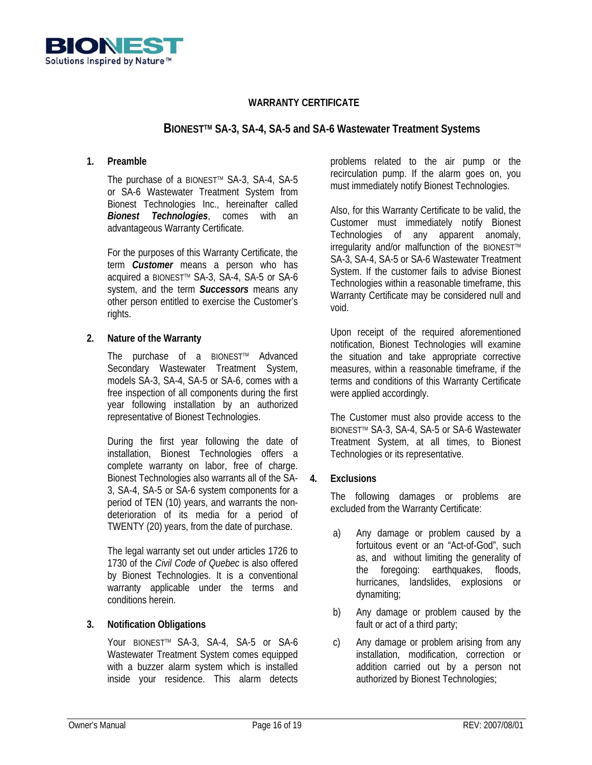

# **WARRANTY CERTIFICATE**

# **BIONESTTM SA-3, SA-4, SA-5 and SA-6 Wastewater Treatment Systems**

## **1. Preamble**

The purchase of a BIONEST™ SA-3, SA-4, SA-5 or SA-6 Wastewater Treatment System from Bionest Technologies Inc., hereinafter called *Bionest Technologies*, comes with an advantageous Warranty Certificate.

For the purposes of this Warranty Certificate, the term *Customer* means a person who has acquired a BIONEST<sup>™</sup> SA-3, SA-4, SA-5 or SA-6 system, and the term *Successors* means any other person entitled to exercise the Customer's rights.

## **2. Nature of the Warranty**

The purchase of a BIONEST™ Advanced Secondary Wastewater Treatment System, models SA-3, SA-4, SA-5 or SA-6, comes with a free inspection of all components during the first year following installation by an authorized representative of Bionest Technologies.

 During the first year following the date of installation, Bionest Technologies offers a complete warranty on labor, free of charge. Bionest Technologies also warrants all of the SA-3, SA-4, SA-5 or SA-6 system components for a period of TEN (10) years, and warrants the nondeterioration of its media for a period of TWENTY (20) years, from the date of purchase.

 The legal warranty set out under articles 1726 to 1730 of the *Civil Code of Quebec* is also offered by Bionest Technologies. It is a conventional warranty applicable under the terms and conditions herein.

## **3. Notification Obligations**

Your BIONEST™ SA-3, SA-4, SA-5 or SA-6 Wastewater Treatment System comes equipped with a buzzer alarm system which is installed inside your residence. This alarm detects problems related to the air pump or the recirculation pump. If the alarm goes on, you must immediately notify Bionest Technologies.

Also, for this Warranty Certificate to be valid, the Customer must immediately notify Bionest Technologies of any apparent anomaly, irregularity and/or malfunction of the BIONEST™ SA-3, SA-4, SA-5 or SA-6 Wastewater Treatment System. If the customer fails to advise Bionest Technologies within a reasonable timeframe, this Warranty Certificate may be considered null and void.

Upon receipt of the required aforementioned notification, Bionest Technologies will examine the situation and take appropriate corrective measures, within a reasonable timeframe, if the terms and conditions of this Warranty Certificate were applied accordingly.

The Customer must also provide access to the BIONEST<sup>™</sup> SA-3, SA-4, SA-5 or SA-6 Wastewater Treatment System, at all times, to Bionest Technologies or its representative.

## **4. Exclusions**

The following damages or problems are excluded from the Warranty Certificate:

- a) Any damage or problem caused by a fortuitous event or an "Act-of-God", such as, and without limiting the generality of the foregoing: earthquakes, floods, hurricanes, landslides, explosions or dynamiting;
- b) Any damage or problem caused by the fault or act of a third party;
- c) Any damage or problem arising from any installation, modification, correction or addition carried out by a person not authorized by Bionest Technologies;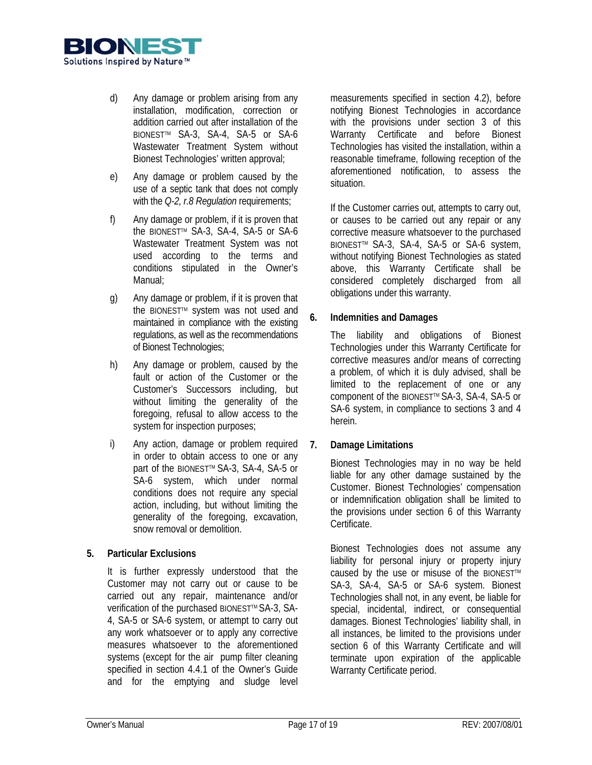

- d) Any damage or problem arising from any installation, modification, correction or addition carried out after installation of the BIONEST™ SA-3, SA-4, SA-5 or SA-6 Wastewater Treatment System without Bionest Technologies' written approval;
- e) Any damage or problem caused by the use of a septic tank that does not comply with the *Q-2, r.8 Regulation* requirements;
- f) Any damage or problem, if it is proven that the BIONEST™ SA-3, SA-4, SA-5 or SA-6 Wastewater Treatment System was not used according to the terms and conditions stipulated in the Owner's Manual;
- g) Any damage or problem, if it is proven that the BIONEST™ system was not used and maintained in compliance with the existing regulations, as well as the recommendations of Bionest Technologies;
- h) Any damage or problem, caused by the fault or action of the Customer or the Customer's Successors including, but without limiting the generality of the foregoing, refusal to allow access to the system for inspection purposes;
- i) Any action, damage or problem required in order to obtain access to one or any part of the BIONEST™ SA-3, SA-4, SA-5 or SA-6 system, which under normal conditions does not require any special action, including, but without limiting the generality of the foregoing, excavation, snow removal or demolition.

# **5. Particular Exclusions**

It is further expressly understood that the Customer may not carry out or cause to be carried out any repair, maintenance and/or verification of the purchased BIONEST™ SA-3, SA-4, SA-5 or SA-6 system, or attempt to carry out any work whatsoever or to apply any corrective measures whatsoever to the aforementioned systems (except for the air pump filter cleaning specified in section 4.4.1 of the Owner's Guide and for the emptying and sludge level

measurements specified in section 4.2), before notifying Bionest Technologies in accordance with the provisions under section 3 of this Warranty Certificate and before Bionest Technologies has visited the installation, within a reasonable timeframe, following reception of the aforementioned notification, to assess the situation.

If the Customer carries out, attempts to carry out, or causes to be carried out any repair or any corrective measure whatsoever to the purchased BIONEST<sup>™</sup> SA-3, SA-4, SA-5 or SA-6 system, without notifying Bionest Technologies as stated above, this Warranty Certificate shall be considered completely discharged from all obligations under this warranty.

# **6. Indemnities and Damages**

The liability and obligations of Bionest Technologies under this Warranty Certificate for corrective measures and/or means of correcting a problem, of which it is duly advised, shall be limited to the replacement of one or any component of the BIONESTTM SA-3, SA-4, SA-5 or SA-6 system, in compliance to sections 3 and 4 herein.

# **7. Damage Limitations**

 Bionest Technologies may in no way be held liable for any other damage sustained by the Customer. Bionest Technologies' compensation or indemnification obligation shall be limited to the provisions under section 6 of this Warranty Certificate.

 Bionest Technologies does not assume any liability for personal injury or property injury caused by the use or misuse of the BIONEST™ SA-3, SA-4, SA-5 or SA-6 system. Bionest Technologies shall not, in any event, be liable for special, incidental, indirect, or consequential damages. Bionest Technologies' liability shall, in all instances, be limited to the provisions under section 6 of this Warranty Certificate and will terminate upon expiration of the applicable Warranty Certificate period.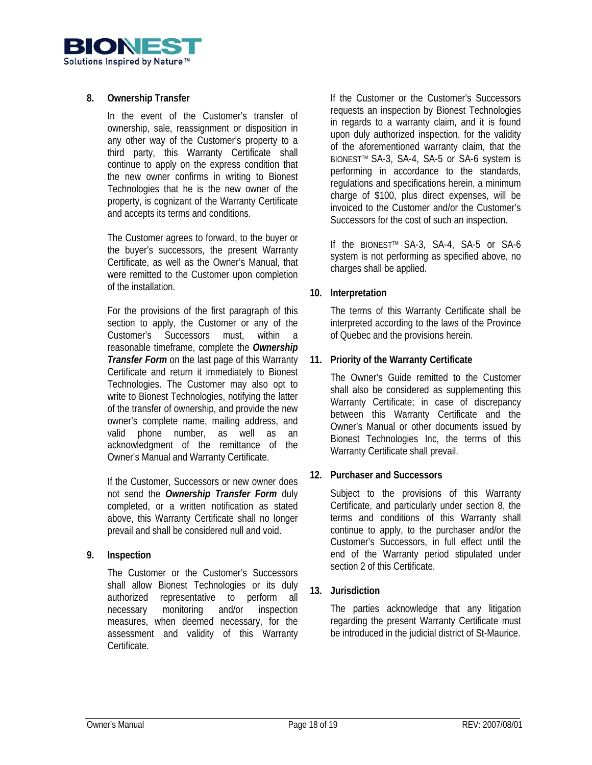

## **8. Ownership Transfer**

In the event of the Customer's transfer of ownership, sale, reassignment or disposition in any other way of the Customer's property to a third party, this Warranty Certificate shall continue to apply on the express condition that the new owner confirms in writing to Bionest Technologies that he is the new owner of the property, is cognizant of the Warranty Certificate and accepts its terms and conditions.

The Customer agrees to forward, to the buyer or the buyer's successors, the present Warranty Certificate, as well as the Owner's Manual, that were remitted to the Customer upon completion of the installation.

For the provisions of the first paragraph of this section to apply, the Customer or any of the Customer's Successors must, within a reasonable timeframe, complete the *Ownership Transfer Form* on the last page of this Warranty Certificate and return it immediately to Bionest Technologies. The Customer may also opt to write to Bionest Technologies, notifying the latter of the transfer of ownership, and provide the new owner's complete name, mailing address, and valid phone number, as well as an acknowledgment of the remittance of the Owner's Manual and Warranty Certificate.

If the Customer, Successors or new owner does not send the *Ownership Transfer Form* duly completed, or a written notification as stated above, this Warranty Certificate shall no longer prevail and shall be considered null and void.

## **9. Inspection**

The Customer or the Customer's Successors shall allow Bionest Technologies or its duly authorized representative to perform all necessary monitoring and/or inspection measures, when deemed necessary, for the assessment and validity of this Warranty Certificate.

If the Customer or the Customer's Successors requests an inspection by Bionest Technologies in regards to a warranty claim, and it is found upon duly authorized inspection, for the validity of the aforementioned warranty claim, that the BIONEST<sup>™</sup> SA-3, SA-4, SA-5 or SA-6 system is performing in accordance to the standards, regulations and specifications herein, a minimum charge of \$100, plus direct expenses, will be invoiced to the Customer and/or the Customer's Successors for the cost of such an inspection.

If the BIONEST™ SA-3, SA-4, SA-5 or SA-6 system is not performing as specified above, no charges shall be applied.

## **10. Interpretation**

The terms of this Warranty Certificate shall be interpreted according to the laws of the Province of Quebec and the provisions herein.

## **11. Priority of the Warranty Certificate**

The Owner's Guide remitted to the Customer shall also be considered as supplementing this Warranty Certificate; in case of discrepancy between this Warranty Certificate and the Owner's Manual or other documents issued by Bionest Technologies Inc, the terms of this Warranty Certificate shall prevail.

# **12. Purchaser and Successors**

Subject to the provisions of this Warranty Certificate, and particularly under section 8, the terms and conditions of this Warranty shall continue to apply, to the purchaser and/or the Customer's Successors, in full effect until the end of the Warranty period stipulated under section 2 of this Certificate.

## **13. Jurisdiction**

The parties acknowledge that any litigation regarding the present Warranty Certificate must be introduced in the judicial district of St-Maurice.